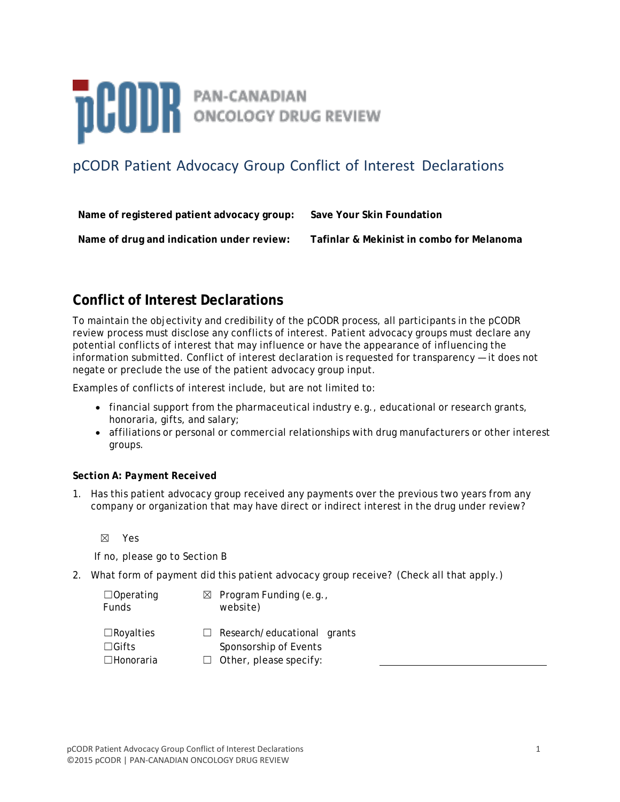

# **DCODR** PAN-CANADIAN

## pCODR Patient Advocacy Group Conflict of Interest Declarations

| Name of registered patient advocacy group: | Save Your Skin Foundation                 |
|--------------------------------------------|-------------------------------------------|
| Name of drug and indication under review:  | Tafinlar & Mekinist in combo for Melanoma |

### **Conflict of Interest Declarations**

To maintain the objectivity and credibility of the pCODR process, all participants in the pCODR review process must disclose any conflicts of interest. Patient advocacy groups must declare any potential conflicts of interest that may influence or have the appearance of influencing the information submitted. Conflict of interest declaration is requested for transparency — it does not negate or preclude the use of the patient advocacy group input.

Examples of conflicts of interest include, but are not limited to:

- financial support from the pharmaceutical industry e.g., educational or research grants, honoraria, gifts, and salary;
- affiliations or personal or commercial relationships with drug manufacturers or other interest groups.

#### *Section A: Payment Received*

1. Has this patient advocacy group received any payments over the previous two years from any company or organization that may have direct or indirect interest in the drug under review?

☒ Yes

If no, please go to Section B

2. What form of payment did this patient advocacy group receive? (Check all that apply.)

| $\Box$ Operating<br>Funds        |        | $\boxtimes$ Program Funding (e.g.,<br>website)       |  |
|----------------------------------|--------|------------------------------------------------------|--|
| $\Box$ Royalties<br>$\Box$ Gifts |        | Research/educational grants<br>Sponsorship of Events |  |
| $\Box$ Honoraria                 | $\Box$ | Other, please specify:                               |  |